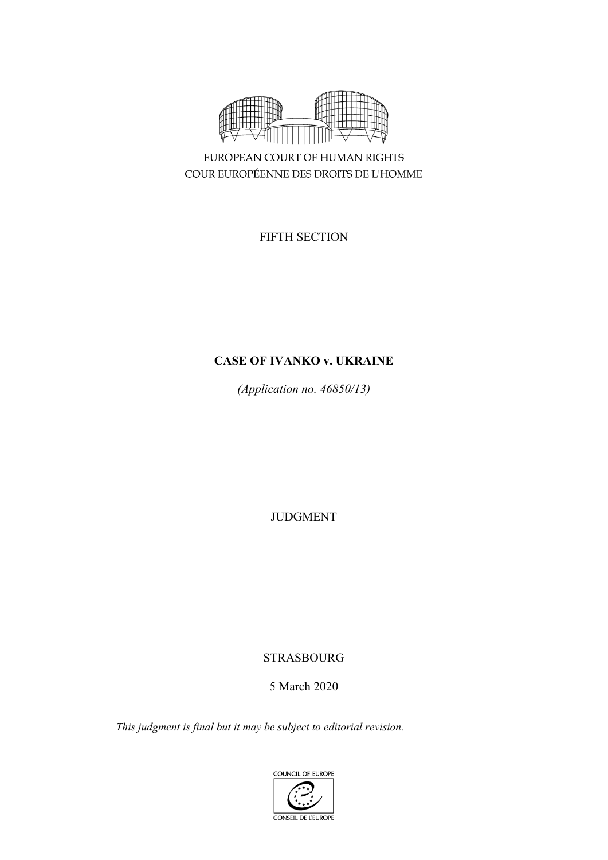

EUROPEAN COURT OF HUMAN RIGHTS COUR EUROPÉENNE DES DROITS DE L'HOMME

FIFTH SECTION

# **CASE OF IVANKO v. UKRAINE**

*(Application no. 46850/13)*

JUDGMENT

# STRASBOURG

# 5 March 2020

*This judgment is final but it may be subject to editorial revision.*

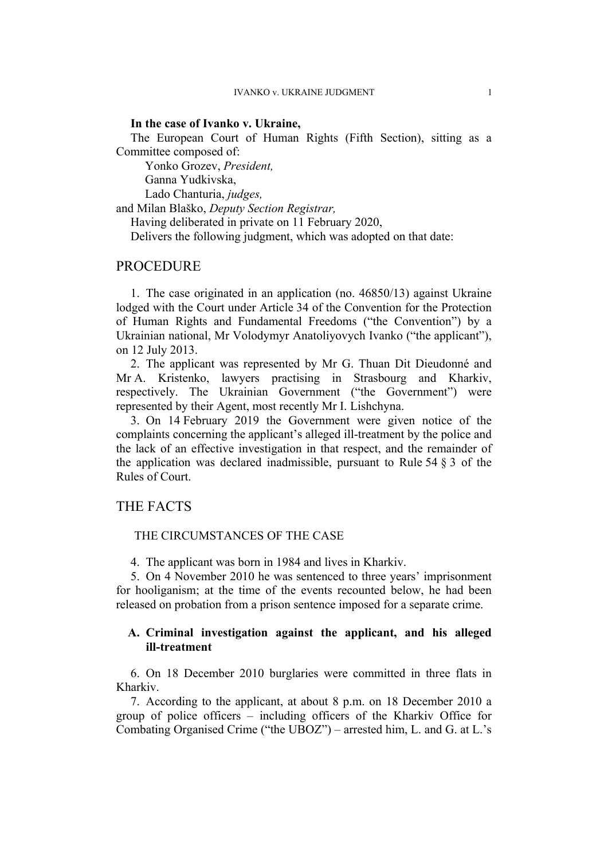### **In the case of Ivanko v. Ukraine,**

The European Court of Human Rights (Fifth Section), sitting as a Committee composed of:

Yonko Grozev, *President,*

Ganna Yudkivska,

Lado Chanturia, *judges,*

and Milan Blaško, *Deputy Section Registrar,*

Having deliberated in private on 11 February 2020,

Delivers the following judgment, which was adopted on that date:

## **PROCEDURE**

1. The case originated in an application (no. 46850/13) against Ukraine lodged with the Court under Article 34 of the Convention for the Protection of Human Rights and Fundamental Freedoms ("the Convention") by a Ukrainian national, Mr Volodymyr Anatoliyovych Ivanko ("the applicant"), on 12 July 2013.

2. The applicant was represented by Mr G. Thuan Dit Dieudonné and Mr A. Kristenko, lawyers practising in Strasbourg and Kharkiv, respectively. The Ukrainian Government ("the Government") were represented by their Agent, most recently Mr I. Lishchyna.

3. On 14 February 2019 the Government were given notice of the complaints concerning the applicant's alleged ill-treatment by the police and the lack of an effective investigation in that respect, and the remainder of the application was declared inadmissible, pursuant to Rule  $54 \S 3$  of the Rules of Court.

# THE FACTS

#### THE CIRCUMSTANCES OF THE CASE

4. The applicant was born in 1984 and lives in Kharkiv.

5. On 4 November 2010 he was sentenced to three years' imprisonment for hooliganism; at the time of the events recounted below, he had been released on probation from a prison sentence imposed for a separate crime.

## **A. Criminal investigation against the applicant, and his alleged ill-treatment**

6. On 18 December 2010 burglaries were committed in three flats in Kharkiv.

<span id="page-4-0"></span>7. According to the applicant, at about 8 p.m. on 18 December 2010 a group of police officers – including officers of the Kharkiv Office for Combating Organised Crime ("the UBOZ") – arrested him, L. and G. at L.'s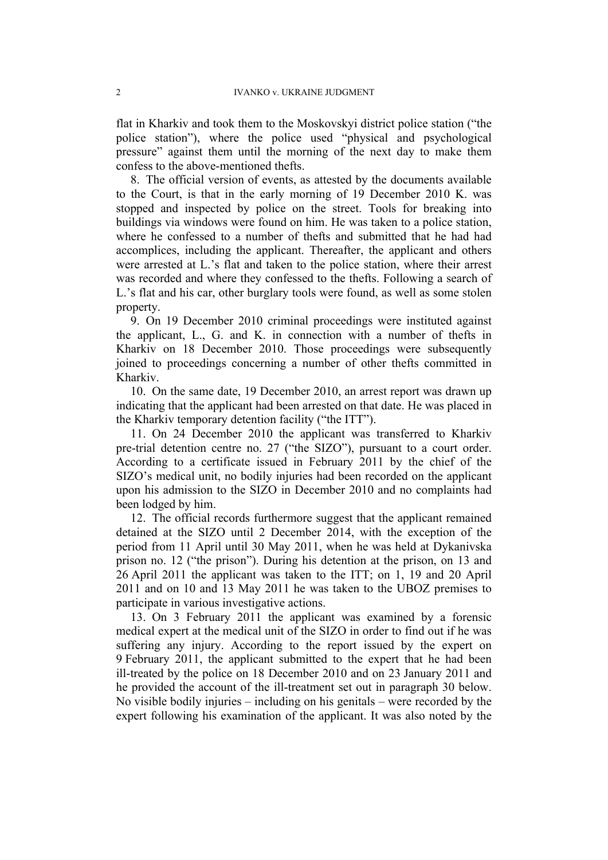flat in Kharkiv and took them to the Moskovskyi district police station ("the police station"), where the police used "physical and psychological pressure" against them until the morning of the next day to make them confess to the above-mentioned thefts.

<span id="page-5-1"></span>8. The official version of events, as attested by the documents available to the Court, is that in the early morning of 19 December 2010 K. was stopped and inspected by police on the street. Tools for breaking into buildings via windows were found on him. He was taken to a police station, where he confessed to a number of thefts and submitted that he had had accomplices, including the applicant. Thereafter, the applicant and others were arrested at L.'s flat and taken to the police station, where their arrest was recorded and where they confessed to the thefts. Following a search of L.'s flat and his car, other burglary tools were found, as well as some stolen property.

9. On 19 December 2010 criminal proceedings were instituted against the applicant, L., G. and K. in connection with a number of thefts in Kharkiv on 18 December 2010. Those proceedings were subsequently joined to proceedings concerning a number of other thefts committed in Kharkiv.

10. On the same date, 19 December 2010, an arrest report was drawn up indicating that the applicant had been arrested on that date. He was placed in the Kharkiv temporary detention facility ("the ITT").

11. On 24 December 2010 the applicant was transferred to Kharkiv pre-trial detention centre no. 27 ("the SIZO"), pursuant to a court order. According to a certificate issued in February 2011 by the chief of the SIZO's medical unit, no bodily injuries had been recorded on the applicant upon his admission to the SIZO in December 2010 and no complaints had been lodged by him.

<span id="page-5-0"></span>12. The official records furthermore suggest that the applicant remained detained at the SIZO until 2 December 2014, with the exception of the period from 11 April until 30 May 2011, when he was held at Dykanivska prison no. 12 ("the prison"). During his detention at the prison, on 13 and 26 April 2011 the applicant was taken to the ITT; on 1, 19 and 20 April 2011 and on 10 and 13 May 2011 he was taken to the UBOZ premises to participate in various investigative actions.

13. On 3 February 2011 the applicant was examined by a forensic medical expert at the medical unit of the SIZO in order to find out if he was suffering any injury. According to the report issued by the expert on 9 February 2011, the applicant submitted to the expert that he had been ill-treated by the police on 18 December 2010 and on 23 January 2011 and he provided the account of the ill-treatment set out in paragraph [30](#page-8-0) below. No visible bodily injuries – including on his genitals – were recorded by the expert following his examination of the applicant. It was also noted by the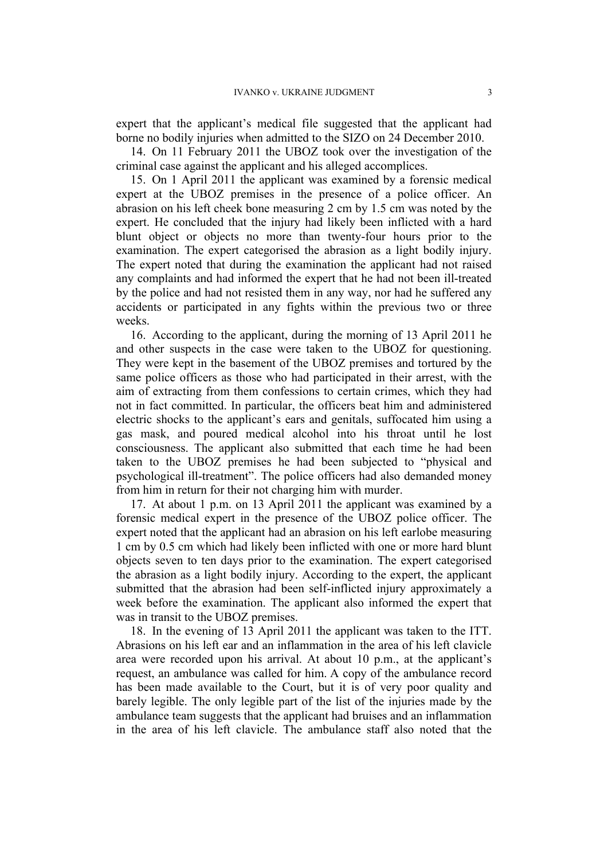expert that the applicant's medical file suggested that the applicant had borne no bodily injuries when admitted to the SIZO on 24 December 2010.

14. On 11 February 2011 the UBOZ took over the investigation of the criminal case against the applicant and his alleged accomplices.

15. On 1 April 2011 the applicant was examined by a forensic medical expert at the UBOZ premises in the presence of a police officer. An abrasion on his left cheek bone measuring 2 cm by 1.5 cm was noted by the expert. He concluded that the injury had likely been inflicted with a hard blunt object or objects no more than twenty-four hours prior to the examination. The expert categorised the abrasion as a light bodily injury. The expert noted that during the examination the applicant had not raised any complaints and had informed the expert that he had not been ill-treated by the police and had not resisted them in any way, nor had he suffered any accidents or participated in any fights within the previous two or three weeks.

16. According to the applicant, during the morning of 13 April 2011 he and other suspects in the case were taken to the UBOZ for questioning. They were kept in the basement of the UBOZ premises and tortured by the same police officers as those who had participated in their arrest, with the aim of extracting from them confessions to certain crimes, which they had not in fact committed. In particular, the officers beat him and administered electric shocks to the applicant's ears and genitals, suffocated him using a gas mask, and poured medical alcohol into his throat until he lost consciousness. The applicant also submitted that each time he had been taken to the UBOZ premises he had been subjected to "physical and psychological ill-treatment". The police officers had also demanded money from him in return for their not charging him with murder.

<span id="page-6-1"></span>17. At about 1 p.m. on 13 April 2011 the applicant was examined by a forensic medical expert in the presence of the UBOZ police officer. The expert noted that the applicant had an abrasion on his left earlobe measuring 1 cm by 0.5 cm which had likely been inflicted with one or more hard blunt objects seven to ten days prior to the examination. The expert categorised the abrasion as a light bodily injury. According to the expert, the applicant submitted that the abrasion had been self-inflicted injury approximately a week before the examination. The applicant also informed the expert that was in transit to the UBOZ premises.

<span id="page-6-0"></span>18. In the evening of 13 April 2011 the applicant was taken to the ITT. Abrasions on his left ear and an inflammation in the area of his left clavicle area were recorded upon his arrival. At about 10 p.m., at the applicant's request, an ambulance was called for him. A copy of the ambulance record has been made available to the Court, but it is of very poor quality and barely legible. The only legible part of the list of the injuries made by the ambulance team suggests that the applicant had bruises and an inflammation in the area of his left clavicle. The ambulance staff also noted that the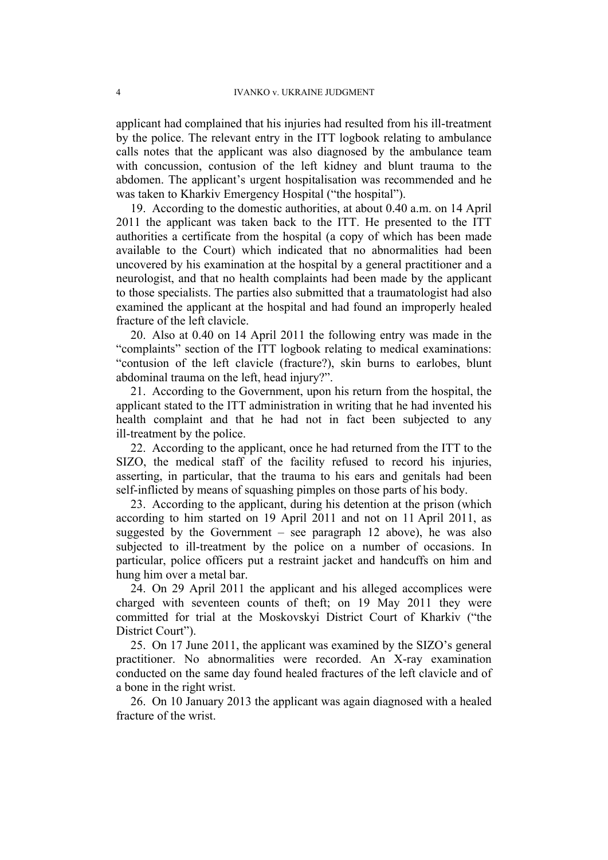applicant had complained that his injuries had resulted from his ill-treatment by the police. The relevant entry in the ITT logbook relating to ambulance calls notes that the applicant was also diagnosed by the ambulance team with concussion, contusion of the left kidney and blunt trauma to the abdomen. The applicant's urgent hospitalisation was recommended and he was taken to Kharkiv Emergency Hospital ("the hospital").

<span id="page-7-1"></span>19. According to the domestic authorities, at about 0.40 a.m. on 14 April 2011 the applicant was taken back to the ITT. He presented to the ITT authorities a certificate from the hospital (a copy of which has been made available to the Court) which indicated that no abnormalities had been uncovered by his examination at the hospital by a general practitioner and a neurologist, and that no health complaints had been made by the applicant to those specialists. The parties also submitted that a traumatologist had also examined the applicant at the hospital and had found an improperly healed fracture of the left clavicle.

<span id="page-7-0"></span>20. Also at 0.40 on 14 April 2011 the following entry was made in the "complaints" section of the ITT logbook relating to medical examinations: "contusion of the left clavicle (fracture?), skin burns to earlobes, blunt abdominal trauma on the left, head injury?".

21. According to the Government, upon his return from the hospital, the applicant stated to the ITT administration in writing that he had invented his health complaint and that he had not in fact been subjected to any ill-treatment by the police.

22. According to the applicant, once he had returned from the ITT to the SIZO, the medical staff of the facility refused to record his injuries, asserting, in particular, that the trauma to his ears and genitals had been self-inflicted by means of squashing pimples on those parts of his body.

23. According to the applicant, during his detention at the prison (which according to him started on 19 April 2011 and not on 11 April 2011, as suggested by the Government – see paragraph [12](#page-5-0) above), he was also subjected to ill-treatment by the police on a number of occasions. In particular, police officers put a restraint jacket and handcuffs on him and hung him over a metal bar.

24. On 29 April 2011 the applicant and his alleged accomplices were charged with seventeen counts of theft; on 19 May 2011 they were committed for trial at the Moskovskyi District Court of Kharkiv ("the District Court").

<span id="page-7-2"></span>25. On 17 June 2011, the applicant was examined by the SIZO's general practitioner. No abnormalities were recorded. An X-ray examination conducted on the same day found healed fractures of the left clavicle and of a bone in the right wrist.

<span id="page-7-3"></span>26. On 10 January 2013 the applicant was again diagnosed with a healed fracture of the wrist.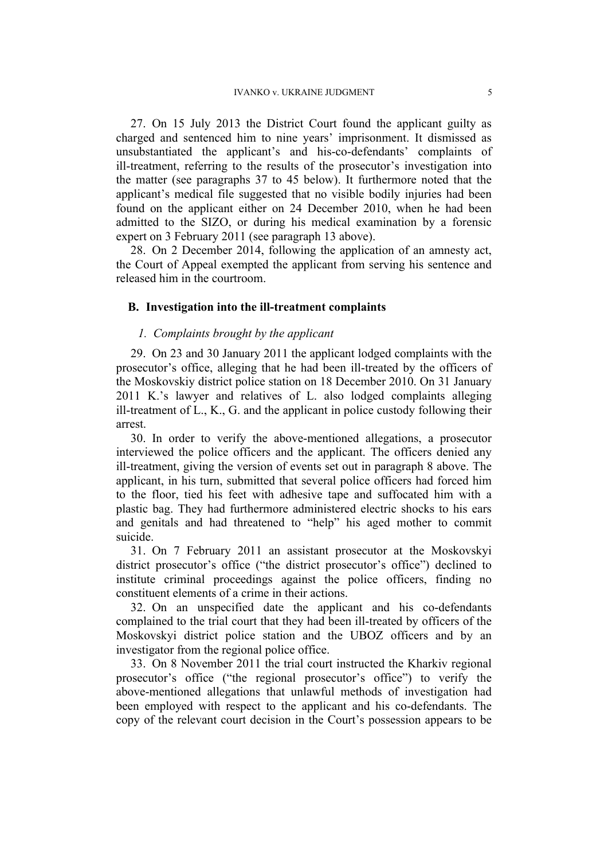<span id="page-8-2"></span>27. On 15 July 2013 the District Court found the applicant guilty as charged and sentenced him to nine years' imprisonment. It dismissed as unsubstantiated the applicant's and his-co-defendants' complaints of ill-treatment, referring to the results of the prosecutor's investigation into the matter (see paragraphs [37](#page-9-0) to [45](#page-10-0) below). It furthermore noted that the applicant's medical file suggested that no visible bodily injuries had been found on the applicant either on 24 December 2010, when he had been admitted to the SIZO, or during his medical examination by a forensic expert on 3 February 2011 (see paragraph 13 above).

28. On 2 December 2014, following the application of an amnesty act, the Court of Appeal exempted the applicant from serving his sentence and released him in the courtroom.

#### **B. Investigation into the ill-treatment complaints**

## *1. Complaints brought by the applicant*

29. On 23 and 30 January 2011 the applicant lodged complaints with the prosecutor's office, alleging that he had been ill-treated by the officers of the Moskovskiy district police station on 18 December 2010. On 31 January 2011 K.'s lawyer and relatives of L. also lodged complaints alleging ill-treatment of L., K., G. and the applicant in police custody following their arrest.

<span id="page-8-0"></span>30. In order to verify the above-mentioned allegations, a prosecutor interviewed the police officers and the applicant. The officers denied any ill-treatment, giving the version of events set out in paragraph [8](#page-5-1) above. The applicant, in his turn, submitted that several police officers had forced him to the floor, tied his feet with adhesive tape and suffocated him with a plastic bag. They had furthermore administered electric shocks to his ears and genitals and had threatened to "help" his aged mother to commit suicide.

31. On 7 February 2011 an assistant prosecutor at the Moskovskyi district prosecutor's office ("the district prosecutor's office") declined to institute criminal proceedings against the police officers, finding no constituent elements of a crime in their actions.

<span id="page-8-1"></span>32. On an unspecified date the applicant and his co-defendants complained to the trial court that they had been ill-treated by officers of the Moskovskyi district police station and the UBOZ officers and by an investigator from the regional police office.

33. On 8 November 2011 the trial court instructed the Kharkiv regional prosecutor's office ("the regional prosecutor's office") to verify the above-mentioned allegations that unlawful methods of investigation had been employed with respect to the applicant and his co-defendants. The copy of the relevant court decision in the Court's possession appears to be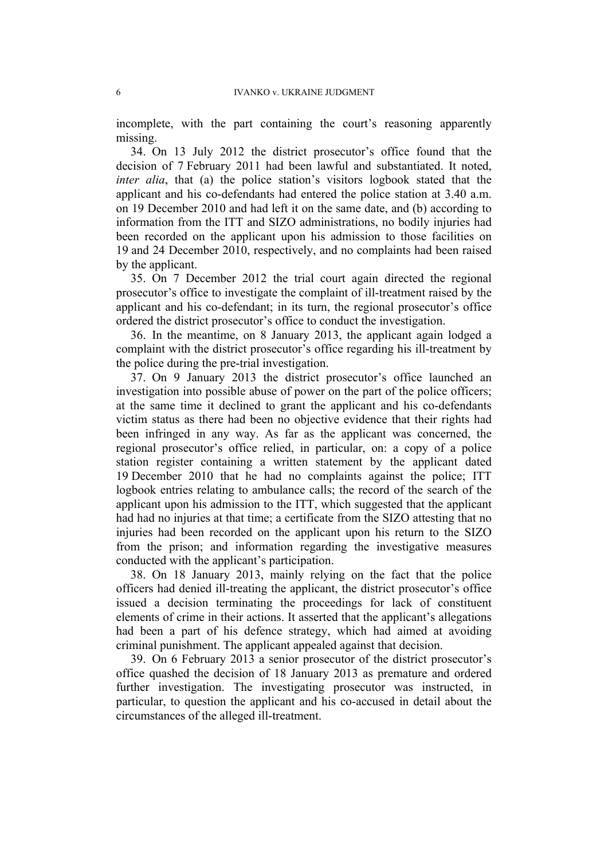incomplete, with the part containing the court's reasoning apparently missing.

34. On 13 July 2012 the district prosecutor's office found that the decision of 7 February 2011 had been lawful and substantiated. It noted, *inter alia*, that (a) the police station's visitors logbook stated that the applicant and his co-defendants had entered the police station at 3.40 a.m. on 19 December 2010 and had left it on the same date, and (b) according to information from the ITT and SIZO administrations, no bodily injuries had been recorded on the applicant upon his admission to those facilities on 19 and 24 December 2010, respectively, and no complaints had been raised by the applicant.

35. On 7 December 2012 the trial court again directed the regional prosecutor's office to investigate the complaint of ill-treatment raised by the applicant and his co-defendant; in its turn, the regional prosecutor's office ordered the district prosecutor's office to conduct the investigation.

36. In the meantime, on 8 January 2013, the applicant again lodged a complaint with the district prosecutor's office regarding his ill-treatment by the police during the pre-trial investigation.

<span id="page-9-0"></span>37. On 9 January 2013 the district prosecutor's office launched an investigation into possible abuse of power on the part of the police officers; at the same time it declined to grant the applicant and his co-defendants victim status as there had been no objective evidence that their rights had been infringed in any way. As far as the applicant was concerned, the regional prosecutor's office relied, in particular, on: a copy of a police station register containing a written statement by the applicant dated 19 December 2010 that he had no complaints against the police; ITT logbook entries relating to ambulance calls; the record of the search of the applicant upon his admission to the ITT, which suggested that the applicant had had no injuries at that time; a certificate from the SIZO attesting that no injuries had been recorded on the applicant upon his return to the SIZO from the prison; and information regarding the investigative measures conducted with the applicant's participation.

38. On 18 January 2013, mainly relying on the fact that the police officers had denied ill-treating the applicant, the district prosecutor's office issued a decision terminating the proceedings for lack of constituent elements of crime in their actions. It asserted that the applicant's allegations had been a part of his defence strategy, which had aimed at avoiding criminal punishment. The applicant appealed against that decision.

39. On 6 February 2013 a senior prosecutor of the district prosecutor's office quashed the decision of 18 January 2013 as premature and ordered further investigation. The investigating prosecutor was instructed, in particular, to question the applicant and his co-accused in detail about the circumstances of the alleged ill-treatment.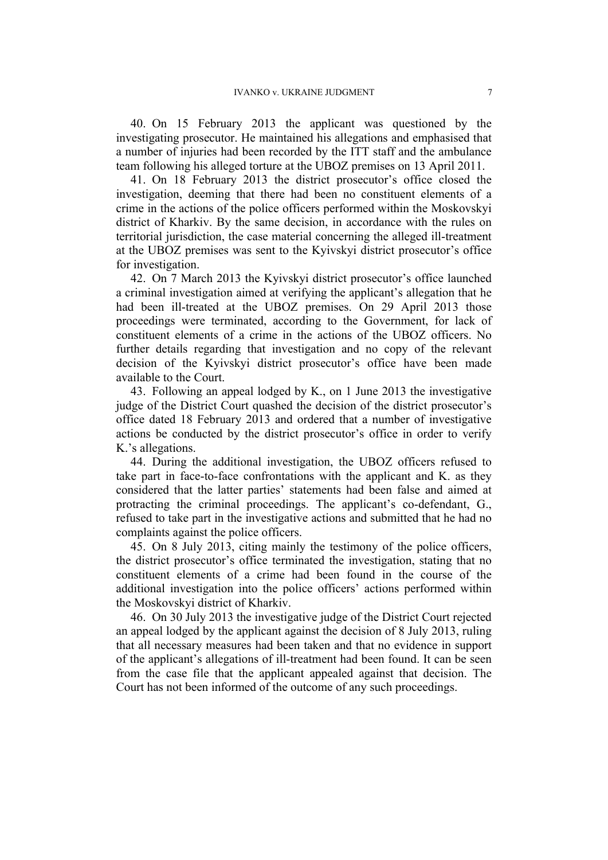<span id="page-10-1"></span>40. On 15 February 2013 the applicant was questioned by the investigating prosecutor. He maintained his allegations and emphasised that a number of injuries had been recorded by the ITT staff and the ambulance team following his alleged torture at the UBOZ premises on 13 April 2011.

41. On 18 February 2013 the district prosecutor's office closed the investigation, deeming that there had been no constituent elements of a crime in the actions of the police officers performed within the Moskovskyi district of Kharkiv. By the same decision, in accordance with the rules on territorial jurisdiction, the case material concerning the alleged ill-treatment at the UBOZ premises was sent to the Kyivskyi district prosecutor's office for investigation.

<span id="page-10-2"></span>42. On 7 March 2013 the Kyivskyi district prosecutor's office launched a criminal investigation aimed at verifying the applicant's allegation that he had been ill-treated at the UBOZ premises. On 29 April 2013 those proceedings were terminated, according to the Government, for lack of constituent elements of a crime in the actions of the UBOZ officers. No further details regarding that investigation and no copy of the relevant decision of the Kyivskyi district prosecutor's office have been made available to the Court.

<span id="page-10-3"></span>43. Following an appeal lodged by K., on 1 June 2013 the investigative judge of the District Court quashed the decision of the district prosecutor's office dated 18 February 2013 and ordered that a number of investigative actions be conducted by the district prosecutor's office in order to verify K.'s allegations.

44. During the additional investigation, the UBOZ officers refused to take part in face-to-face confrontations with the applicant and K. as they considered that the latter parties' statements had been false and aimed at protracting the criminal proceedings. The applicant's co-defendant, G., refused to take part in the investigative actions and submitted that he had no complaints against the police officers.

<span id="page-10-0"></span>45. On 8 July 2013, citing mainly the testimony of the police officers, the district prosecutor's office terminated the investigation, stating that no constituent elements of a crime had been found in the course of the additional investigation into the police officers' actions performed within the Moskovskyi district of Kharkiv.

46. On 30 July 2013 the investigative judge of the District Court rejected an appeal lodged by the applicant against the decision of 8 July 2013, ruling that all necessary measures had been taken and that no evidence in support of the applicant's allegations of ill-treatment had been found. It can be seen from the case file that the applicant appealed against that decision. The Court has not been informed of the outcome of any such proceedings.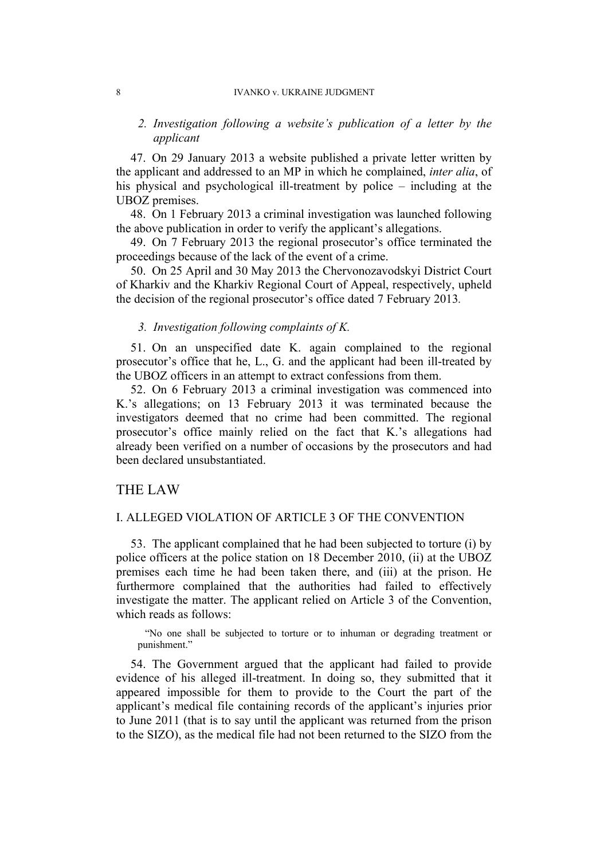#### 8 IVANKO v. UKRAINE JUDGMENT

## *2. Investigation following a website's publication of a letter by the applicant*

47. On 29 January 2013 a website published a private letter written by the applicant and addressed to an MP in which he complained, *inter alia*, of his physical and psychological ill-treatment by police – including at the UBOZ premises.

<span id="page-11-0"></span>48. On 1 February 2013 a criminal investigation was launched following the above publication in order to verify the applicant's allegations.

49. On 7 February 2013 the regional prosecutor's office terminated the proceedings because of the lack of the event of a crime.

<span id="page-11-1"></span>50. On 25 April and 30 May 2013 the Chervonozavodskyi District Court of Kharkiv and the Kharkiv Regional Court of Appeal, respectively, upheld the decision of the regional prosecutor's office dated 7 February 2013*.*

#### *3. Investigation following complaints of K.*

51. On an unspecified date K. again complained to the regional prosecutor's office that he, L., G. and the applicant had been ill-treated by the UBOZ officers in an attempt to extract confessions from them.

<span id="page-11-2"></span>52. On 6 February 2013 a criminal investigation was commenced into K.'s allegations; on 13 February 2013 it was terminated because the investigators deemed that no crime had been committed. The regional prosecutor's office mainly relied on the fact that K.'s allegations had already been verified on a number of occasions by the prosecutors and had been declared unsubstantiated.

# THE LAW

### I. ALLEGED VIOLATION OF ARTICLE 3 OF THE CONVENTION

53. The applicant complained that he had been subjected to torture (i) by police officers at the police station on 18 December 2010, (ii) at the UBOZ premises each time he had been taken there, and (iii) at the prison. He furthermore complained that the authorities had failed to effectively investigate the matter. The applicant relied on Article 3 of the Convention, which reads as follows:

"No one shall be subjected to torture or to inhuman or degrading treatment or punishment."

<span id="page-11-3"></span>54. The Government argued that the applicant had failed to provide evidence of his alleged ill-treatment. In doing so, they submitted that it appeared impossible for them to provide to the Court the part of the applicant's medical file containing records of the applicant's injuries prior to June 2011 (that is to say until the applicant was returned from the prison to the SIZO), as the medical file had not been returned to the SIZO from the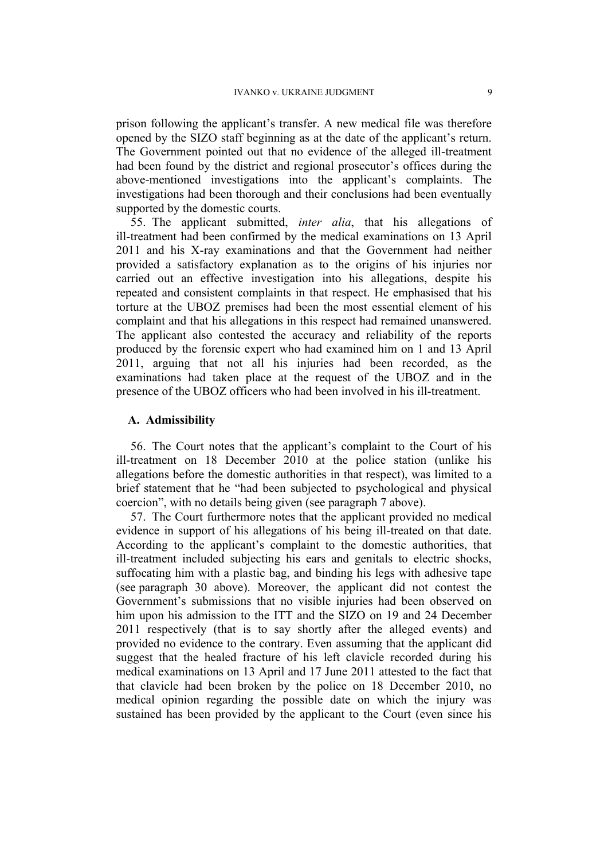prison following the applicant's transfer. A new medical file was therefore opened by the SIZO staff beginning as at the date of the applicant's return. The Government pointed out that no evidence of the alleged ill-treatment had been found by the district and regional prosecutor's offices during the above-mentioned investigations into the applicant's complaints. The investigations had been thorough and their conclusions had been eventually supported by the domestic courts.

55. The applicant submitted, *inter alia*, that his allegations of ill-treatment had been confirmed by the medical examinations on 13 April 2011 and his X-ray examinations and that the Government had neither provided a satisfactory explanation as to the origins of his injuries nor carried out an effective investigation into his allegations, despite his repeated and consistent complaints in that respect. He emphasised that his torture at the UBOZ premises had been the most essential element of his complaint and that his allegations in this respect had remained unanswered. The applicant also contested the accuracy and reliability of the reports produced by the forensic expert who had examined him on 1 and 13 April 2011, arguing that not all his injuries had been recorded, as the examinations had taken place at the request of the UBOZ and in the presence of the UBOZ officers who had been involved in his ill-treatment.

## **A. Admissibility**

56. The Court notes that the applicant's complaint to the Court of his ill-treatment on 18 December 2010 at the police station (unlike his allegations before the domestic authorities in that respect), was limited to a brief statement that he "had been subjected to psychological and physical coercion", with no details being given (see paragraph [7](#page-4-0) above).

57. The Court furthermore notes that the applicant provided no medical evidence in support of his allegations of his being ill-treated on that date. According to the applicant's complaint to the domestic authorities, that ill-treatment included subjecting his ears and genitals to electric shocks, suffocating him with a plastic bag, and binding his legs with adhesive tape (see paragraph [30](#page-8-0) above). Moreover, the applicant did not contest the Government's submissions that no visible injuries had been observed on him upon his admission to the ITT and the SIZO on 19 and 24 December 2011 respectively (that is to say shortly after the alleged events) and provided no evidence to the contrary. Even assuming that the applicant did suggest that the healed fracture of his left clavicle recorded during his medical examinations on 13 April and 17 June 2011 attested to the fact that that clavicle had been broken by the police on 18 December 2010, no medical opinion regarding the possible date on which the injury was sustained has been provided by the applicant to the Court (even since his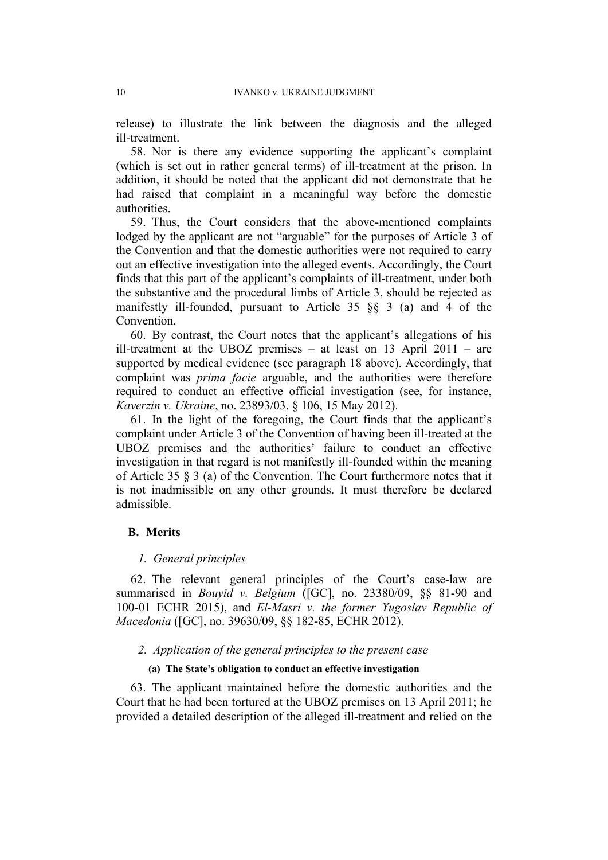release) to illustrate the link between the diagnosis and the alleged ill-treatment.

58. Nor is there any evidence supporting the applicant's complaint (which is set out in rather general terms) of ill-treatment at the prison. In addition, it should be noted that the applicant did not demonstrate that he had raised that complaint in a meaningful way before the domestic authorities.

59. Thus, the Court considers that the above-mentioned complaints lodged by the applicant are not "arguable" for the purposes of Article 3 of the Convention and that the domestic authorities were not required to carry out an effective investigation into the alleged events. Accordingly, the Court finds that this part of the applicant's complaints of ill-treatment, under both the substantive and the procedural limbs of Article 3, should be rejected as manifestly ill-founded, pursuant to Article 35 §§ 3 (a) and 4 of the **Convention** 

60. By contrast, the Court notes that the applicant's allegations of his ill-treatment at the UBOZ premises – at least on 13 April 2011 – are supported by medical evidence (see paragraph [18](#page-6-0) above). Accordingly, that complaint was *prima facie* arguable, and the authorities were therefore required to conduct an effective official investigation (see, for instance, *Kaverzin v. Ukraine*, no. 23893/03, § 106, 15 May 2012).

61. In the light of the foregoing, the Court finds that the applicant's complaint under Article 3 of the Convention of having been ill-treated at the UBOZ premises and the authorities' failure to conduct an effective investigation in that regard is not manifestly ill-founded within the meaning of Article 35 § 3 (a) of the Convention. The Court furthermore notes that it is not inadmissible on any other grounds. It must therefore be declared admissible.

#### **B. Merits**

#### *1. General principles*

62. The relevant general principles of the Court's case-law are summarised in *Bouyid v. Belgium* ([GC], no. 23380/09, §§ 81-90 and 100-01 ECHR 2015), and *El-Masri v. the former Yugoslav Republic of Macedonia* ([GC], no. 39630/09, §§ 182-85, ECHR 2012).

#### *2. Application of the general principles to the present case*

#### **(a) The State's obligation to conduct an effective investigation**

63. The applicant maintained before the domestic authorities and the Court that he had been tortured at the UBOZ premises on 13 April 2011; he provided a detailed description of the alleged ill-treatment and relied on the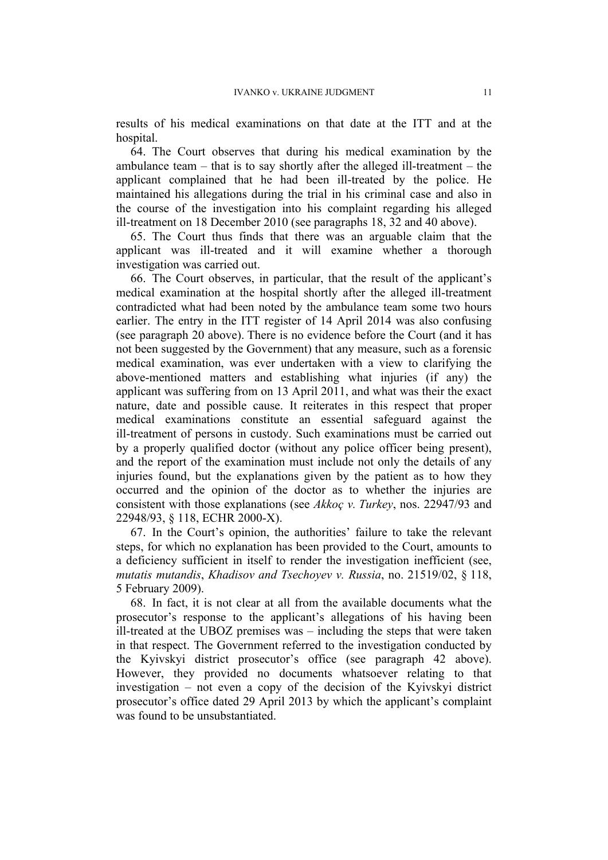results of his medical examinations on that date at the ITT and at the hospital.

64. The Court observes that during his medical examination by the ambulance team  $-$  that is to say shortly after the alleged ill-treatment  $-$  the applicant complained that he had been ill-treated by the police. He maintained his allegations during the trial in his criminal case and also in the course of the investigation into his complaint regarding his alleged ill-treatment on 18 December 2010 (see paragraphs [18](#page-6-0), [32](#page-8-1) and [40](#page-10-1) above).

65. The Court thus finds that there was an arguable claim that the applicant was ill-treated and it will examine whether a thorough investigation was carried out.

<span id="page-14-0"></span>66. The Court observes, in particular, that the result of the applicant's medical examination at the hospital shortly after the alleged ill-treatment contradicted what had been noted by the ambulance team some two hours earlier. The entry in the ITT register of 14 April 2014 was also confusing (see paragraph [20](#page-7-0) above). There is no evidence before the Court (and it has not been suggested by the Government) that any measure, such as a forensic medical examination, was ever undertaken with a view to clarifying the above-mentioned matters and establishing what injuries (if any) the applicant was suffering from on 13 April 2011, and what was their the exact nature, date and possible cause. It reiterates in this respect that proper medical examinations constitute an essential safeguard against the ill-treatment of persons in custody. Such examinations must be carried out by a properly qualified doctor (without any police officer being present), and the report of the examination must include not only the details of any injuries found, but the explanations given by the patient as to how they occurred and the opinion of the doctor as to whether the injuries are consistent with those explanations (see *Akkoç v. Turkey*, nos. 22947/93 and 22948/93, § 118, ECHR 2000-X).

67. In the Court's opinion, the authorities' failure to take the relevant steps, for which no explanation has been provided to the Court, amounts to a deficiency sufficient in itself to render the investigation inefficient (see, *mutatis mutandis*, *Khadisov and Tsechoyev v. Russia*, no. 21519/02, § 118, 5 February 2009).

68. In fact, it is not clear at all from the available documents what the prosecutor's response to the applicant's allegations of his having been ill-treated at the UBOZ premises was – including the steps that were taken in that respect. The Government referred to the investigation conducted by the Kyivskyi district prosecutor's office (see paragraph [42](#page-10-2) above). However, they provided no documents whatsoever relating to that investigation – not even a copy of the decision of the Kyivskyi district prosecutor's office dated 29 April 2013 by which the applicant's complaint was found to be unsubstantiated.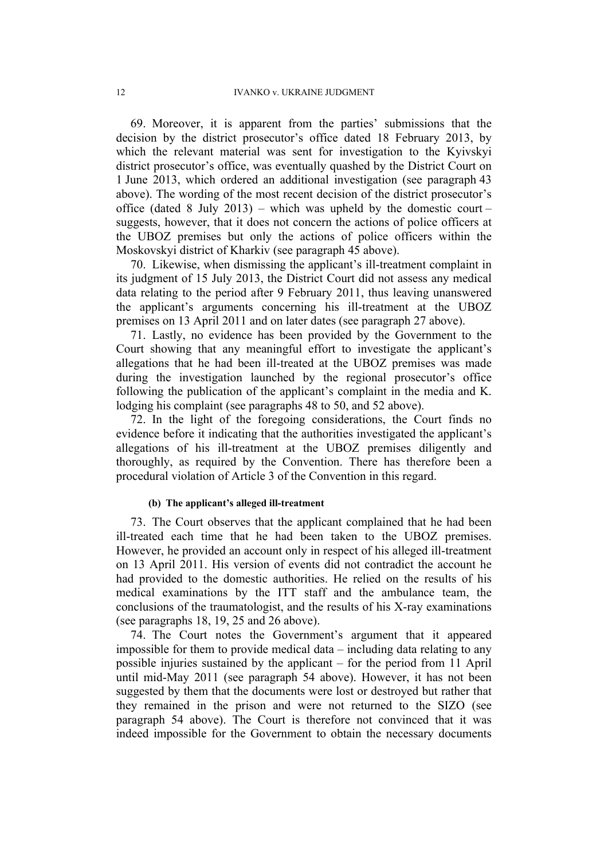69. Moreover, it is apparent from the parties' submissions that the decision by the district prosecutor's office dated 18 February 2013, by which the relevant material was sent for investigation to the Kyivskyi district prosecutor's office, was eventually quashed by the District Court on 1 June 2013, which ordered an additional investigation (see paragraph [43](#page-10-3) above). The wording of the most recent decision of the district prosecutor's office (dated 8 July 2013) – which was upheld by the domestic court – suggests, however, that it does not concern the actions of police officers at the UBOZ premises but only the actions of police officers within the Moskovskyi district of Kharkiv (see paragraph [45](#page-10-0) above).

70. Likewise, when dismissing the applicant's ill-treatment complaint in its judgment of 15 July 2013, the District Court did not assess any medical data relating to the period after 9 February 2011, thus leaving unanswered the applicant's arguments concerning his ill-treatment at the UBOZ premises on 13 April 2011 and on later dates (see paragraph [27](#page-8-2) above).

71. Lastly, no evidence has been provided by the Government to the Court showing that any meaningful effort to investigate the applicant's allegations that he had been ill-treated at the UBOZ premises was made during the investigation launched by the regional prosecutor's office following the publication of the applicant's complaint in the media and K. lodging his complaint (see paragraphs [48](#page-11-0) to [50,](#page-11-1) and [52](#page-11-2) above).

72. In the light of the foregoing considerations, the Court finds no evidence before it indicating that the authorities investigated the applicant's allegations of his ill-treatment at the UBOZ premises diligently and thoroughly, as required by the Convention. There has therefore been a procedural violation of Article 3 of the Convention in this regard.

#### **(b) The applicant's alleged ill-treatment**

73. The Court observes that the applicant complained that he had been ill-treated each time that he had been taken to the UBOZ premises. However, he provided an account only in respect of his alleged ill-treatment on 13 April 2011. His version of events did not contradict the account he had provided to the domestic authorities. He relied on the results of his medical examinations by the ITT staff and the ambulance team, the conclusions of the traumatologist, and the results of his X-ray examinations (see paragraphs [18,](#page-6-0) [19,](#page-7-1) [25](#page-7-2) and [26](#page-7-3) above).

74. The Court notes the Government's argument that it appeared impossible for them to provide medical data – including data relating to any possible injuries sustained by the applicant – for the period from 11 April until mid-May 2011 (see paragraph [54](#page-11-3) above). However, it has not been suggested by them that the documents were lost or destroyed but rather that they remained in the prison and were not returned to the SIZO (see paragraph [54](#page-11-3) above). The Court is therefore not convinced that it was indeed impossible for the Government to obtain the necessary documents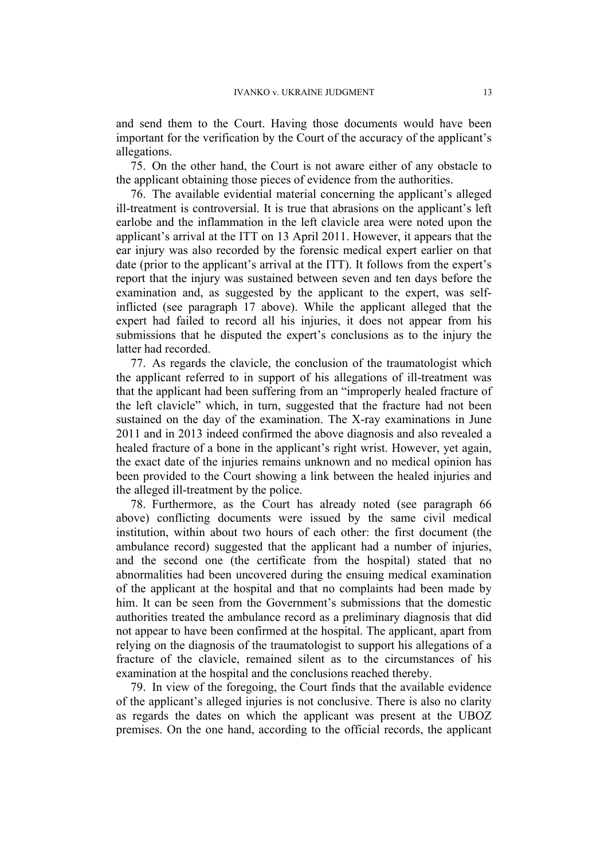and send them to the Court. Having those documents would have been important for the verification by the Court of the accuracy of the applicant's allegations.

75. On the other hand, the Court is not aware either of any obstacle to the applicant obtaining those pieces of evidence from the authorities.

76. The available evidential material concerning the applicant's alleged ill-treatment is controversial. It is true that abrasions on the applicant's left earlobe and the inflammation in the left clavicle area were noted upon the applicant's arrival at the ITT on 13 April 2011. However, it appears that the ear injury was also recorded by the forensic medical expert earlier on that date (prior to the applicant's arrival at the ITT). It follows from the expert's report that the injury was sustained between seven and ten days before the examination and, as suggested by the applicant to the expert, was selfinflicted (see paragraph [17](#page-6-1) above). While the applicant alleged that the expert had failed to record all his injuries, it does not appear from his submissions that he disputed the expert's conclusions as to the injury the latter had recorded.

77. As regards the clavicle, the conclusion of the traumatologist which the applicant referred to in support of his allegations of ill-treatment was that the applicant had been suffering from an "improperly healed fracture of the left clavicle" which, in turn, suggested that the fracture had not been sustained on the day of the examination. The X-ray examinations in June 2011 and in 2013 indeed confirmed the above diagnosis and also revealed a healed fracture of a bone in the applicant's right wrist. However, yet again, the exact date of the injuries remains unknown and no medical opinion has been provided to the Court showing a link between the healed injuries and the alleged ill-treatment by the police.

78. Furthermore, as the Court has already noted (see paragraph [66](#page-14-0) above) conflicting documents were issued by the same civil medical institution, within about two hours of each other: the first document (the ambulance record) suggested that the applicant had a number of injuries, and the second one (the certificate from the hospital) stated that no abnormalities had been uncovered during the ensuing medical examination of the applicant at the hospital and that no complaints had been made by him. It can be seen from the Government's submissions that the domestic authorities treated the ambulance record as a preliminary diagnosis that did not appear to have been confirmed at the hospital. The applicant, apart from relying on the diagnosis of the traumatologist to support his allegations of a fracture of the clavicle, remained silent as to the circumstances of his examination at the hospital and the conclusions reached thereby.

79. In view of the foregoing, the Court finds that the available evidence of the applicant's alleged injuries is not conclusive. There is also no clarity as regards the dates on which the applicant was present at the UBOZ premises. On the one hand, according to the official records, the applicant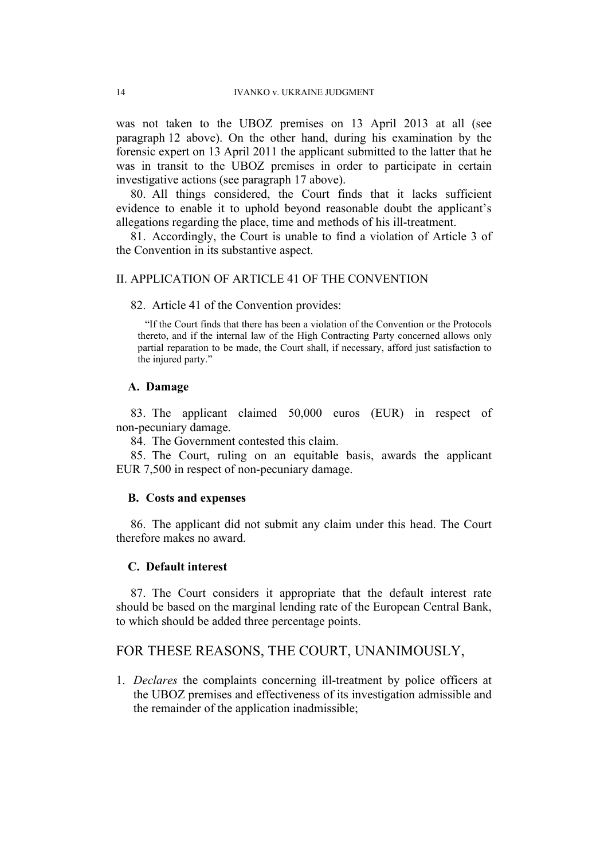was not taken to the UBOZ premises on 13 April 2013 at all (see paragraph [12](#page-5-0) above). On the other hand, during his examination by the forensic expert on 13 April 2011 the applicant submitted to the latter that he was in transit to the UBOZ premises in order to participate in certain investigative actions (see paragraph [17](#page-6-1) above).

80. All things considered, the Court finds that it lacks sufficient evidence to enable it to uphold beyond reasonable doubt the applicant's allegations regarding the place, time and methods of his ill-treatment.

81. Accordingly, the Court is unable to find a violation of Article 3 of the Convention in its substantive aspect.

#### II. APPLICATION OF ARTICLE 41 OF THE CONVENTION

82. Article 41 of the Convention provides:

"If the Court finds that there has been a violation of the Convention or the Protocols thereto, and if the internal law of the High Contracting Party concerned allows only partial reparation to be made, the Court shall, if necessary, afford just satisfaction to the injured party."

### **A. Damage**

83. The applicant claimed 50,000 euros (EUR) in respect of non-pecuniary damage.

84. The Government contested this claim.

85. The Court, ruling on an equitable basis, awards the applicant EUR 7,500 in respect of non-pecuniary damage.

#### **B. Costs and expenses**

86. The applicant did not submit any claim under this head. The Court therefore makes no award.

#### **C. Default interest**

87. The Court considers it appropriate that the default interest rate should be based on the marginal lending rate of the European Central Bank, to which should be added three percentage points.

## FOR THESE REASONS, THE COURT, UNANIMOUSLY,

1. *Declares* the complaints concerning ill-treatment by police officers at the UBOZ premises and effectiveness of its investigation admissible and the remainder of the application inadmissible;